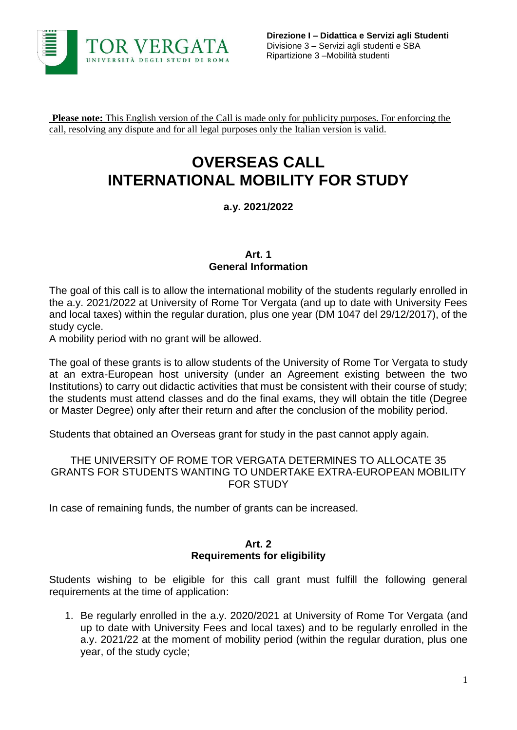

**Please note:** This English version of the Call is made only for publicity purposes. For enforcing the call, resolving any dispute and for all legal purposes only the Italian version is valid.

# **OVERSEAS CALL INTERNATIONAL MOBILITY FOR STUDY**

# **a.y. 2021/2022**

#### **Art. 1 General Information**

The goal of this call is to allow the international mobility of the students regularly enrolled in the a.y. 2021/2022 at University of Rome Tor Vergata (and up to date with University Fees and local taxes) within the regular duration, plus one year (DM 1047 del 29/12/2017), of the study cycle.

A mobility period with no grant will be allowed.

The goal of these grants is to allow students of the University of Rome Tor Vergata to study at an extra-European host university (under an Agreement existing between the two Institutions) to carry out didactic activities that must be consistent with their course of study; the students must attend classes and do the final exams, they will obtain the title (Degree or Master Degree) only after their return and after the conclusion of the mobility period.

Students that obtained an Overseas grant for study in the past cannot apply again.

#### THE UNIVERSITY OF ROME TOR VERGATA DETERMINES TO ALLOCATE 35 GRANTS FOR STUDENTS WANTING TO UNDERTAKE EXTRA-EUROPEAN MOBILITY FOR STUDY

In case of remaining funds, the number of grants can be increased.

#### **Art. 2 Requirements for eligibility**

Students wishing to be eligible for this call grant must fulfill the following general requirements at the time of application:

1. Be regularly enrolled in the a.y. 2020/2021 at University of Rome Tor Vergata (and up to date with University Fees and local taxes) and to be regularly enrolled in the a.y. 2021/22 at the moment of mobility period (within the regular duration, plus one year, of the study cycle;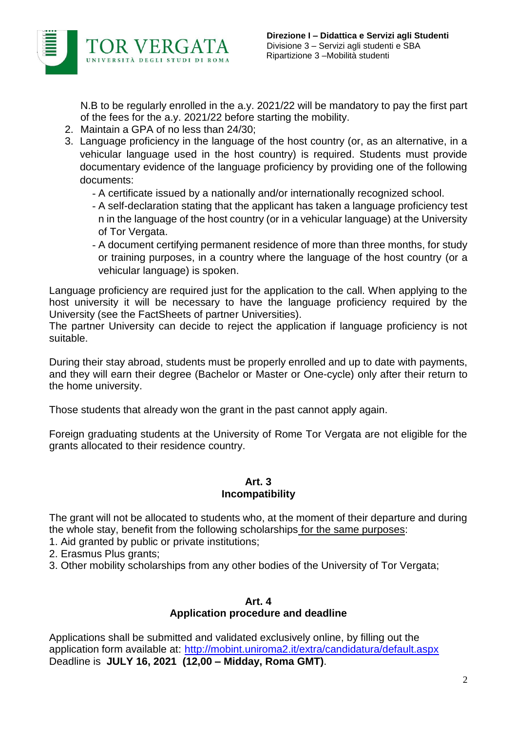

N.B to be regularly enrolled in the a.y. 2021/22 will be mandatory to pay the first part of the fees for the a.y. 2021/22 before starting the mobility.

- 2. Maintain a GPA of no less than 24/30;
- 3. Language proficiency in the language of the host country (or, as an alternative, in a vehicular language used in the host country) is required. Students must provide documentary evidence of the language proficiency by providing one of the following documents:
	- A certificate issued by a nationally and/or internationally recognized school.
	- A self-declaration stating that the applicant has taken a language proficiency test n in the language of the host country (or in a vehicular language) at the University of Tor Vergata.
	- A document certifying permanent residence of more than three months, for study or training purposes, in a country where the language of the host country (or a vehicular language) is spoken.

Language proficiency are required just for the application to the call. When applying to the host university it will be necessary to have the language proficiency required by the University (see the FactSheets of partner Universities).

The partner University can decide to reject the application if language proficiency is not suitable.

During their stay abroad, students must be properly enrolled and up to date with payments, and they will earn their degree (Bachelor or Master or One-cycle) only after their return to the home university.

Those students that already won the grant in the past cannot apply again.

Foreign graduating students at the University of Rome Tor Vergata are not eligible for the grants allocated to their residence country.

#### **Art. 3 Incompatibility**

The grant will not be allocated to students who, at the moment of their departure and during the whole stay, benefit from the following scholarships for the same purposes:

1. Aid granted by public or private institutions;

2. Erasmus Plus grants;

3. Other mobility scholarships from any other bodies of the University of Tor Vergata;

#### **Art. 4 Application procedure and deadline**

Applications shall be submitted and validated exclusively online, by filling out the application form available at: <http://mobint.uniroma2.it/extra/candidatura/default.aspx> Deadline is **JULY 16, 2021 (12,00 – Midday, Roma GMT)**.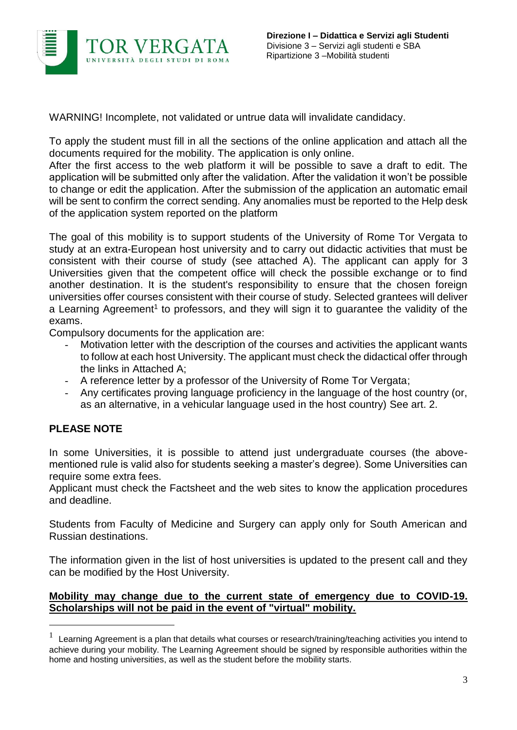

WARNING! Incomplete, not validated or untrue data will invalidate candidacy.

To apply the student must fill in all the sections of the online application and attach all the documents required for the mobility. The application is only online.

After the first access to the web platform it will be possible to save a draft to edit. The application will be submitted only after the validation. After the validation it won't be possible to change or edit the application. After the submission of the application an automatic email will be sent to confirm the correct sending. Any anomalies must be reported to the Help desk of the application system reported on the platform

The goal of this mobility is to support students of the University of Rome Tor Vergata to study at an extra-European host university and to carry out didactic activities that must be consistent with their course of study (see attached A). The applicant can apply for 3 Universities given that the competent office will check the possible exchange or to find another destination. It is the student's responsibility to ensure that the chosen foreign universities offer courses consistent with their course of study. Selected grantees will deliver a Learning Agreement<sup>1</sup> to professors, and they will sign it to guarantee the validity of the exams.

Compulsory documents for the application are:

- Motivation letter with the description of the courses and activities the applicant wants to follow at each host University. The applicant must check the didactical offer through the links in Attached A;
- A reference letter by a professor of the University of Rome Tor Vergata;
- Any certificates proving language proficiency in the language of the host country (or, as an alternative, in a vehicular language used in the host country) See art. 2.

## **PLEASE NOTE**

 $\overline{a}$ 

In some Universities, it is possible to attend just undergraduate courses (the abovementioned rule is valid also for students seeking a master's degree). Some Universities can require some extra fees.

Applicant must check the Factsheet and the web sites to know the application procedures and deadline.

Students from Faculty of Medicine and Surgery can apply only for South American and Russian destinations.

The information given in the list of host universities is updated to the present call and they can be modified by the Host University.

#### **Mobility may change due to the current state of emergency due to COVID-19. Scholarships will not be paid in the event of "virtual" mobility.**

<sup>1</sup> Learning Agreement is a plan that details what courses or research/training/teaching activities you intend to achieve during your mobility. The Learning Agreement should be signed by responsible authorities within the home and hosting universities, as well as the student before the mobility starts.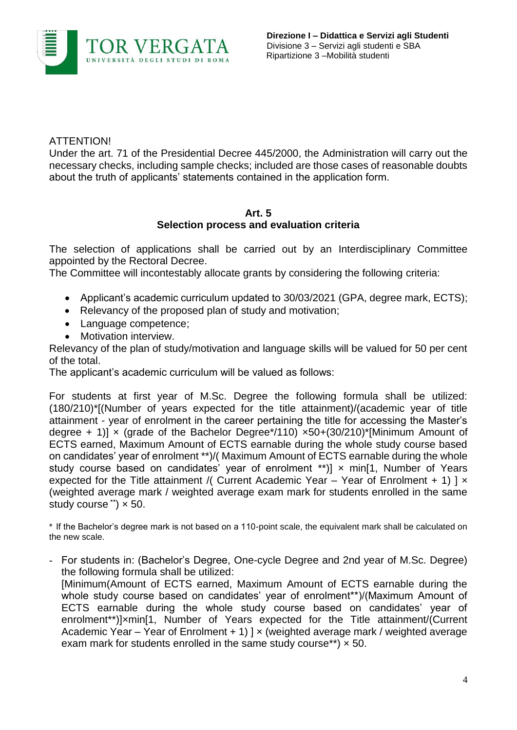

### ATTENTION!

Under the art. 71 of the Presidential Decree 445/2000, the Administration will carry out the necessary checks, including sample checks; included are those cases of reasonable doubts about the truth of applicants' statements contained in the application form.

# **Art. 5**

## **Selection process and evaluation criteria**

The selection of applications shall be carried out by an Interdisciplinary Committee appointed by the Rectoral Decree.

The Committee will incontestably allocate grants by considering the following criteria:

- Applicant's academic curriculum updated to 30/03/2021 (GPA, degree mark, ECTS);
- Relevancy of the proposed plan of study and motivation;
- Language competence;
- Motivation interview.

Relevancy of the plan of study/motivation and language skills will be valued for 50 per cent of the total.

The applicant's academic curriculum will be valued as follows:

For students at first year of M.Sc. Degree the following formula shall be utilized: (180/210)\*[(Number of years expected for the title attainment)/(academic year of title attainment - year of enrolment in the career pertaining the title for accessing the Master's degree + 1)]  $\times$  (grade of the Bachelor Degree\*/110)  $\times$ 50+(30/210)\*[Minimum Amount of ECTS earned, Maximum Amount of ECTS earnable during the whole study course based on candidates' year of enrolment \*\*)/( Maximum Amount of ECTS earnable during the whole study course based on candidates' year of enrolment \*\*)]  $\times$  min[1, Number of Years expected for the Title attainment /( Current Academic Year – Year of Enrolment + 1) ]  $\times$ (weighted average mark / weighted average exam mark for students enrolled in the same study course  $\ddot{\,}$   $\times$  50.

\* If the Bachelor's degree mark is not based on a 110-point scale, the equivalent mark shall be calculated on the new scale.

- For students in: (Bachelor's Degree, One-cycle Degree and 2nd year of M.Sc. Degree) the following formula shall be utilized: [Minimum(Amount of ECTS earned, Maximum Amount of ECTS earnable during the whole study course based on candidates' year of enrolment\*\*)/(Maximum Amount of ECTS earnable during the whole study course based on candidates' year of enrolment\*\*)]×min[1, Number of Years expected for the Title attainment/(Current Academic Year – Year of Enrolment  $+1$ )  $x$  (weighted average mark / weighted average exam mark for students enrolled in the same study course\*\*)  $\times$  50.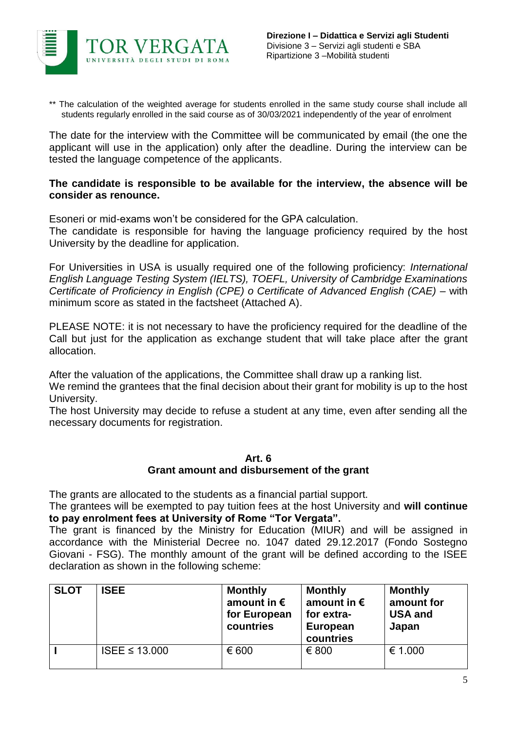

\*\* The calculation of the weighted average for students enrolled in the same study course shall include all students regularly enrolled in the said course as of 30/03/2021 independently of the year of enrolment

The date for the interview with the Committee will be communicated by email (the one the applicant will use in the application) only after the deadline. During the interview can be tested the language competence of the applicants.

#### **The candidate is responsible to be available for the interview, the absence will be consider as renounce.**

Esoneri or mid-exams won't be considered for the GPA calculation.

The candidate is responsible for having the language proficiency required by the host University by the deadline for application.

For Universities in USA is usually required one of the following proficiency: *International English Language Testing System (IELTS), TOEFL, University of Cambridge Examinations Certificate of Proficiency in English (CPE) o Certificate of Advanced English (CAE)* – with minimum score as stated in the factsheet (Attached A).

PLEASE NOTE: it is not necessary to have the proficiency required for the deadline of the Call but just for the application as exchange student that will take place after the grant allocation.

After the valuation of the applications, the Committee shall draw up a ranking list.

We remind the grantees that the final decision about their grant for mobility is up to the host University.

The host University may decide to refuse a student at any time, even after sending all the necessary documents for registration.

#### **Art. 6**

## **Grant amount and disbursement of the grant**

The grants are allocated to the students as a financial partial support.

The grantees will be exempted to pay tuition fees at the host University and **will continue to pay enrolment fees at University of Rome "Tor Vergata".**

The grant is financed by the Ministry for Education (MIUR) and will be assigned in accordance with the Ministerial Decree no. 1047 dated 29.12.2017 (Fondo Sostegno Giovani - FSG). The monthly amount of the grant will be defined according to the ISEE declaration as shown in the following scheme:

| <b>SLOT</b> | <b>ISEE</b>        | <b>Monthly</b><br>amount in $\epsilon$<br>for European<br>countries | <b>Monthly</b><br>amount in $\epsilon$<br>for extra-<br>European<br>countries | <b>Monthly</b><br>amount for<br><b>USA and</b><br>Japan |
|-------------|--------------------|---------------------------------------------------------------------|-------------------------------------------------------------------------------|---------------------------------------------------------|
|             | ISEE $\leq$ 13.000 | € 600                                                               | € 800                                                                         | € 1.000                                                 |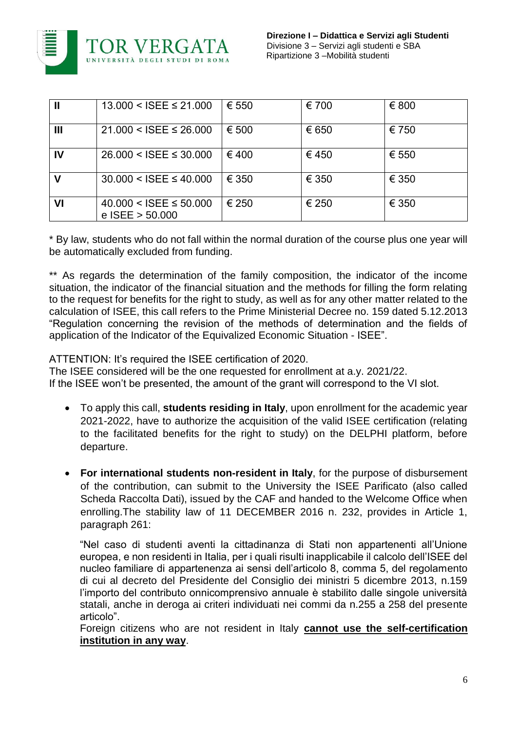

|    | $13.000 <$ ISEE $\leq 21.000$                      | € 550 | € 700 | € 800 |
|----|----------------------------------------------------|-------|-------|-------|
| Ш  | $21.000 <$ ISEE $\leq 26.000$                      | € 500 | € 650 | € 750 |
| IV | $26.000 <$ ISEE $\leq 30.000$                      | €400  | €450  | € 550 |
| v  | $30.000 <$ ISEE $\leq 40.000$                      | € 350 | € 350 | € 350 |
| VI | $40.000 <$ ISEE $\leq 50.000$<br>e $ISEE > 50.000$ | € 250 | € 250 | € 350 |

\* By law, students who do not fall within the normal duration of the course plus one year will be automatically excluded from funding.

\*\* As regards the determination of the family composition, the indicator of the income situation, the indicator of the financial situation and the methods for filling the form relating to the request for benefits for the right to study, as well as for any other matter related to the calculation of ISEE, this call refers to the Prime Ministerial Decree no. 159 dated 5.12.2013 "Regulation concerning the revision of the methods of determination and the fields of application of the Indicator of the Equivalized Economic Situation - ISEE".

ATTENTION: It's required the ISEE certification of 2020.

The ISEE considered will be the one requested for enrollment at a.y. 2021/22.

If the ISEE won't be presented, the amount of the grant will correspond to the VI slot.

- To apply this call, **students residing in Italy**, upon enrollment for the academic year 2021-2022, have to authorize the acquisition of the valid ISEE certification (relating to the facilitated benefits for the right to study) on the DELPHI platform, before departure.
- **For international students non-resident in Italy**, for the purpose of disbursement of the contribution, can submit to the University the ISEE Parificato (also called Scheda Raccolta Dati), issued by the CAF and handed to the Welcome Office when enrolling.The stability law of 11 DECEMBER 2016 n. 232, provides in Article 1, paragraph 261:

"Nel caso di studenti aventi la cittadinanza di Stati non appartenenti all'Unione europea, e non residenti in Italia, per i quali risulti inapplicabile il calcolo dell'ISEE del nucleo familiare di appartenenza ai sensi dell'articolo 8, comma 5, del regolamento di cui al decreto del Presidente del Consiglio dei ministri 5 dicembre 2013, n.159 l'importo del contributo onnicomprensivo annuale è stabilito dalle singole università statali, anche in deroga ai criteri individuati nei commi da n.255 a 258 del presente articolo".

Foreign citizens who are not resident in Italy **cannot use the self-certification institution in any way**.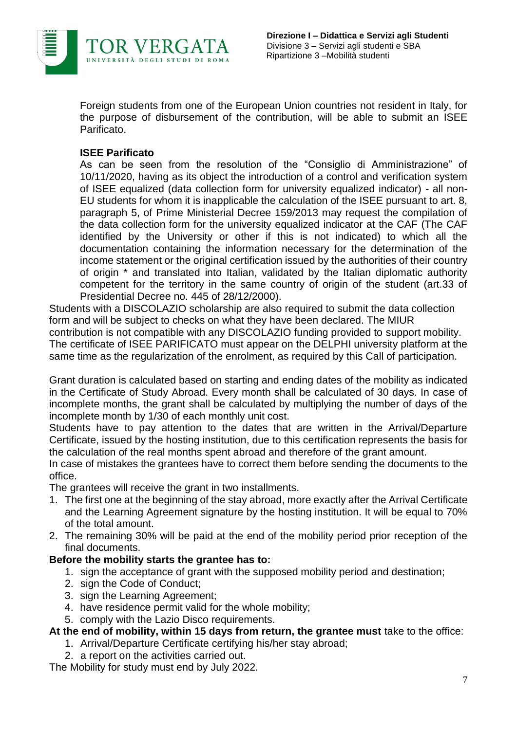

Foreign students from one of the European Union countries not resident in Italy, for the purpose of disbursement of the contribution, will be able to submit an ISEE Parificato.

#### **ISEE Parificato**

As can be seen from the resolution of the "Consiglio di Amministrazione" of 10/11/2020, having as its object the introduction of a control and verification system of ISEE equalized (data collection form for university equalized indicator) - all non-EU students for whom it is inapplicable the calculation of the ISEE pursuant to art. 8, paragraph 5, of Prime Ministerial Decree 159/2013 may request the compilation of the data collection form for the university equalized indicator at the CAF (The CAF identified by the University or other if this is not indicated) to which all the documentation containing the information necessary for the determination of the income statement or the original certification issued by the authorities of their country of origin \* and translated into Italian, validated by the Italian diplomatic authority competent for the territory in the same country of origin of the student (art.33 of Presidential Decree no. 445 of 28/12/2000).

Students with a DISCOLAZIO scholarship are also required to submit the data collection form and will be subject to checks on what they have been declared. The MIUR contribution is not compatible with any DISCOLAZIO funding provided to support mobility. The certificate of ISEE PARIFICATO must appear on the DELPHI university platform at the same time as the regularization of the enrolment, as required by this Call of participation.

Grant duration is calculated based on starting and ending dates of the mobility as indicated in the Certificate of Study Abroad. Every month shall be calculated of 30 days. In case of incomplete months, the grant shall be calculated by multiplying the number of days of the incomplete month by 1/30 of each monthly unit cost.

Students have to pay attention to the dates that are written in the Arrival/Departure Certificate, issued by the hosting institution, due to this certification represents the basis for the calculation of the real months spent abroad and therefore of the grant amount.

In case of mistakes the grantees have to correct them before sending the documents to the office.

The grantees will receive the grant in two installments.

- 1. The first one at the beginning of the stay abroad, more exactly after the Arrival Certificate and the Learning Agreement signature by the hosting institution. It will be equal to 70% of the total amount.
- 2. The remaining 30% will be paid at the end of the mobility period prior reception of the final documents.

## **Before the mobility starts the grantee has to:**

- 1. sign the acceptance of grant with the supposed mobility period and destination;
- 2. sign the Code of Conduct:
- 3. sign the Learning Agreement;
- 4. have residence permit valid for the whole mobility;
- 5. comply with the Lazio Disco requirements.

#### **At the end of mobility, within 15 days from return, the grantee must** take to the office:

- 1. Arrival/Departure Certificate certifying his/her stay abroad;
- 2. a report on the activities carried out.

The Mobility for study must end by July 2022.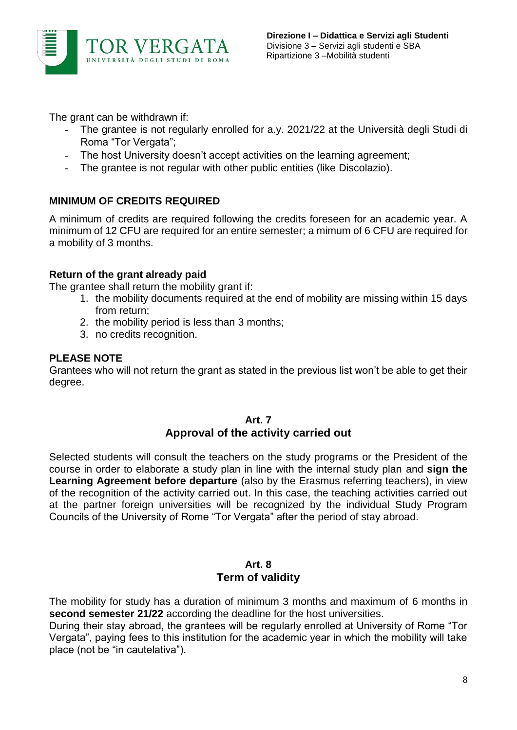

The grant can be withdrawn if:

- The grantee is not regularly enrolled for a.y. 2021/22 at the Università degli Studi di Roma "Tor Vergata";
- The host University doesn't accept activities on the learning agreement;
- The grantee is not regular with other public entities (like Discolazio).

## **MINIMUM OF CREDITS REQUIRED**

A minimum of credits are required following the credits foreseen for an academic year. A minimum of 12 CFU are required for an entire semester; a mimum of 6 CFU are required for a mobility of 3 months.

#### **Return of the grant already paid**

The grantee shall return the mobility grant if:

- 1. the mobility documents required at the end of mobility are missing within 15 days from return;
- 2. the mobility period is less than 3 months;
- 3. no credits recognition.

#### **PLEASE NOTE**

Grantees who will not return the grant as stated in the previous list won't be able to get their degree.

#### **Art. 7 Approval of the activity carried out**

Selected students will consult the teachers on the study programs or the President of the course in order to elaborate a study plan in line with the internal study plan and **sign the Learning Agreement before departure** (also by the Erasmus referring teachers), in view of the recognition of the activity carried out. In this case, the teaching activities carried out at the partner foreign universities will be recognized by the individual Study Program Councils of the University of Rome "Tor Vergata" after the period of stay abroad.

## **Art. 8 Term of validity**

The mobility for study has a duration of minimum 3 months and maximum of 6 months in **second semester 21/22** according the deadline for the host universities.

During their stay abroad, the grantees will be regularly enrolled at University of Rome "Tor Vergata", paying fees to this institution for the academic year in which the mobility will take place (not be "in cautelativa").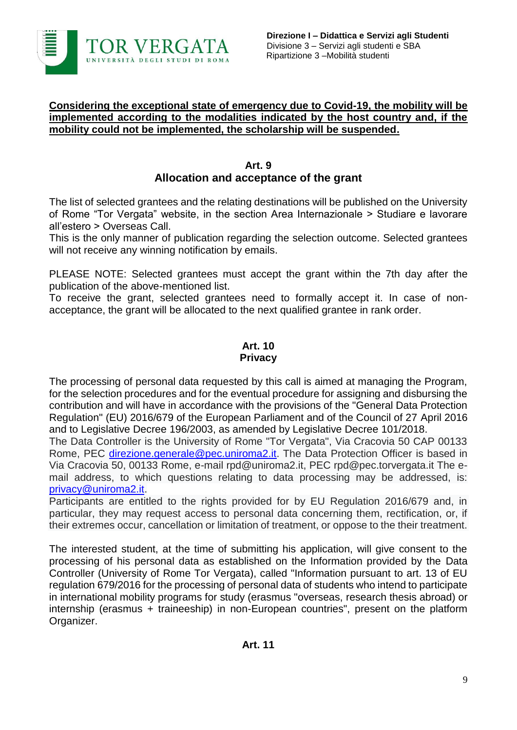

#### **Considering the exceptional state of emergency due to Covid-19, the mobility will be implemented according to the modalities indicated by the host country and, if the mobility could not be implemented, the scholarship will be suspended.**

#### **Art. 9 Allocation and acceptance of the grant**

The list of selected grantees and the relating destinations will be published on the University of Rome "Tor Vergata" website, in the section Area Internazionale > Studiare e lavorare all'estero > Overseas Call.

This is the only manner of publication regarding the selection outcome. Selected grantees will not receive any winning notification by emails.

PLEASE NOTE: Selected grantees must accept the grant within the 7th day after the publication of the above-mentioned list.

To receive the grant, selected grantees need to formally accept it. In case of nonacceptance, the grant will be allocated to the next qualified grantee in rank order.

#### **Art. 10 Privacy**

The processing of personal data requested by this call is aimed at managing the Program, for the selection procedures and for the eventual procedure for assigning and disbursing the contribution and will have in accordance with the provisions of the "General Data Protection Regulation" (EU) 2016/679 of the European Parliament and of the Council of 27 April 2016 and to Legislative Decree 196/2003, as amended by Legislative Decree 101/2018.

The Data Controller is the University of Rome "Tor Vergata", Via Cracovia 50 CAP 00133 Rome, PEC [direzione.generale@pec.uniroma2.it.](mailto:direzione.generale@pec.uniroma2.it) The Data Protection Officer is based in Via Cracovia 50, 00133 Rome, e-mail rpd@uniroma2.it, PEC rpd@pec.torvergata.it The email address, to which questions relating to data processing may be addressed, is: [privacy@uniroma2.it.](mailto:privacy@uniroma2.it)

Participants are entitled to the rights provided for by EU Regulation 2016/679 and, in particular, they may request access to personal data concerning them, rectification, or, if their extremes occur, cancellation or limitation of treatment, or oppose to the their treatment.

The interested student, at the time of submitting his application, will give consent to the processing of his personal data as established on the Information provided by the Data Controller (University of Rome Tor Vergata), called "Information pursuant to art. 13 of EU regulation 679/2016 for the processing of personal data of students who intend to participate in international mobility programs for study (erasmus "overseas, research thesis abroad) or internship (erasmus + traineeship) in non-European countries", present on the platform Organizer.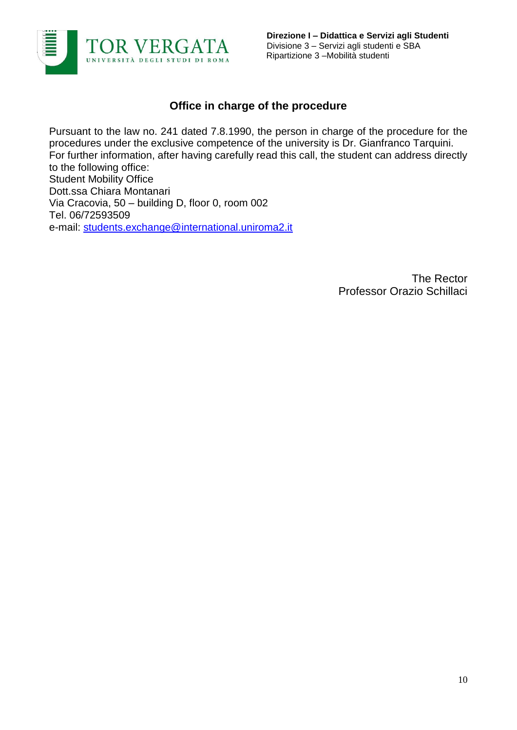

# **Office in charge of the procedure**

Pursuant to the law no. 241 dated 7.8.1990, the person in charge of the procedure for the procedures under the exclusive competence of the university is Dr. Gianfranco Tarquini. For further information, after having carefully read this call, the student can address directly to the following office: Student Mobility Office Dott.ssa Chiara Montanari Via Cracovia, 50 – building D, floor 0, room 002 Tel. 06/72593509 e-mail: [students.exchange@international.uniroma2.it](mailto:students.exchange@international.uniroma2.it)

> The Rector Professor Orazio Schillaci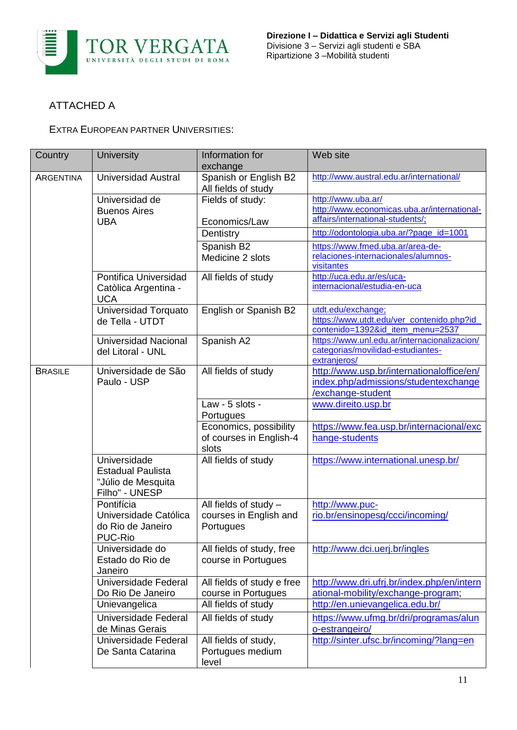

## ATTACHED A

EXTRA EUROPEAN PARTNER UNIVERSITIES:

| Country          | <b>University</b>                                                                | Information for<br>exchange                                    | Web site                                                                                               |
|------------------|----------------------------------------------------------------------------------|----------------------------------------------------------------|--------------------------------------------------------------------------------------------------------|
| <b>ARGENTINA</b> | <b>Universidad Austral</b>                                                       | Spanish or English B2<br>All fields of study                   | http://www.austral.edu.ar/international/                                                               |
|                  | Universidad de<br><b>Buenos Aires</b>                                            | Fields of study:                                               | http://www.uba.ar/<br>http://www.economicas.uba.ar/international-                                      |
|                  | <b>UBA</b>                                                                       | Economics/Law<br>Dentistry                                     | affairs/international-students/,<br>http://odontologia.uba.ar/?page_id=1001                            |
|                  |                                                                                  | Spanish B2                                                     | https://www.fmed.uba.ar/area-de-                                                                       |
|                  |                                                                                  | Medicine 2 slots                                               | relaciones-internacionales/alumnos-<br>visitantes                                                      |
|                  | Pontifica Universidad<br>Catòlica Argentina -<br><b>UCA</b>                      | All fields of study                                            | http://uca.edu.ar/es/uca-<br>internacional/estudia-en-uca                                              |
|                  | Universidad Torquato<br>de Tella - UTDT                                          | English or Spanish B2                                          | utdt.edu/exchange;<br>https://www.utdt.edu/ver_contenido.php?id<br>contenido=1392&id_item_menu=2537    |
|                  | Universidad Nacional<br>del Litoral - UNL                                        | Spanish A2                                                     | https://www.unl.edu.ar/internacionalizacion/<br>categorias/movilidad-estudiantes-<br>extranjeros/      |
| <b>BRASILE</b>   | Universidade de São<br>Paulo - USP                                               | All fields of study                                            | http://www.usp.br/internationaloffice/en/<br>index.php/admissions/studentexchange<br>/exchange-student |
|                  |                                                                                  | Law - 5 slots -<br>Portugues                                   | www.direito.usp.br                                                                                     |
|                  |                                                                                  | Economics, possibility<br>of courses in English-4<br>slots     | https://www.fea.usp.br/internacional/exc<br>hange-students                                             |
|                  | Universidade<br><b>Estadual Paulista</b><br>"Júlio de Mesquita<br>Filho" - UNESP | All fields of study                                            | https://www.international.unesp.br/                                                                    |
|                  | Pontifícia<br>Universidade Católica<br>do Rio de Janeiro<br>PUC-Rio              | All fields of study $-$<br>courses in English and<br>Portugues | http://www.puc-<br>rio.br/ensinopesq/ccci/incoming/                                                    |
|                  | Universidade do<br>Estado do Rio de<br>Janeiro                                   | All fields of study, free<br>course in Portugues               | http://www.dci.uerj.br/ingles                                                                          |
|                  | Universidade Federal<br>Do Rio De Janeiro                                        | All fields of study e free<br>course in Portugues              | http://www.dri.ufrj.br/index.php/en/intern<br>ational-mobility/exchange-program;                       |
|                  | Unievangelica                                                                    | All fields of study                                            | http://en.unievangelica.edu.br/                                                                        |
|                  | Universidade Federal<br>de Minas Gerais                                          | All fields of study                                            | https://www.ufmg.br/dri/programas/alun<br>o-estrangeiro/                                               |
|                  | Universidade Federal<br>De Santa Catarina                                        | All fields of study,<br>Portugues medium<br>level              | http://sinter.ufsc.br/incoming/?lang=en                                                                |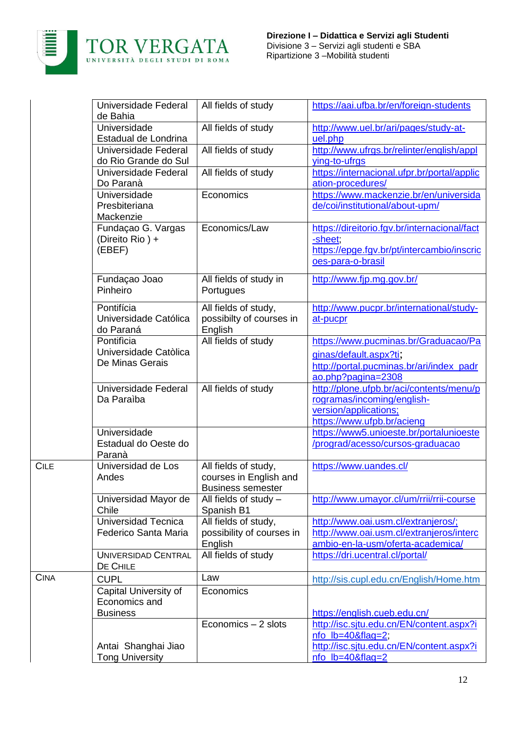

 $CILE$ 

|             | Universidade Federal<br>de Bahia                          | All fields of study                                                        | https://aai.ufba.br/en/foreign-students                                                                                          |
|-------------|-----------------------------------------------------------|----------------------------------------------------------------------------|----------------------------------------------------------------------------------------------------------------------------------|
|             | Universidade<br>Estadual de Londrina                      | All fields of study                                                        | http://www.uel.br/ari/pages/study-at-<br>uel.php                                                                                 |
|             | Universidade Federal<br>do Rio Grande do Sul              | All fields of study                                                        | http://www.ufrgs.br/relinter/english/appl<br>ying-to-ufrgs                                                                       |
|             | Universidade Federal<br>Do Paranà                         | All fields of study                                                        | https://internacional.ufpr.br/portal/applic<br>ation-procedures/                                                                 |
|             | Universidade<br>Presbiteriana<br>Mackenzie                | Economics                                                                  | https://www.mackenzie.br/en/universida<br>de/coi/institutional/about-upm/                                                        |
|             | Fundaçao G. Vargas<br>(Direito Rio) +<br>(EBEF)           | Economics/Law                                                              | https://direitorio.fgv.br/internacional/fact<br>-sheet;<br>https://epge.fgv.br/pt/intercambio/inscric<br>oes-para-o-brasil       |
|             | Fundaçao Joao<br>Pinheiro                                 | All fields of study in<br>Portugues                                        | http://www.fjp.mg.gov.br/                                                                                                        |
|             | Pontifícia<br>Universidade Católica<br>do Paraná          | All fields of study,<br>possibilty of courses in<br>English                | http://www.pucpr.br/international/study-<br>at-pucpr                                                                             |
|             | Pontificia<br>Universidade Catòlica<br>De Minas Gerais    | All fields of study                                                        | https://www.pucminas.br/Graduacao/Pa<br>ginas/default.aspx?ti;<br>http://portal.pucminas.br/ari/index_padr<br>ao.php?pagina=2308 |
|             | Universidade Federal<br>Da Paraiba                        | All fields of study                                                        | http://plone.ufpb.br/aci/contents/menu/p<br>rogramas/incoming/english-<br>version/applications;<br>https://www.ufpb.br/acieng    |
|             | Universidade<br>Estadual do Oeste do<br>Paranà            |                                                                            | https://www5.unioeste.br/portalunioeste<br>/prograd/acesso/cursos-graduacao                                                      |
| <b>CILE</b> | Universidad de Los<br>Andes                               | All fields of study,<br>courses in English and<br><b>Business semester</b> | https://www.uandes.cl/                                                                                                           |
|             | Universidad Mayor de<br>Chile                             | All fields of study $-$<br>Spanish B1                                      | http://www.umayor.cl/um/rrii/rrii-course                                                                                         |
|             | Universidad Tecnica<br>Federico Santa Maria               | All fields of study,<br>possibility of courses in<br>English               | http://www.oai.usm.cl/extranjeros/;<br>http://www.oai.usm.cl/extranjeros/interc<br>ambio-en-la-usm/oferta-academica/             |
|             | <b>UNIVERSIDAD CENTRAL</b><br>DE CHILE                    | All fields of study                                                        | https://dri.ucentral.cl/portal/                                                                                                  |
| <b>CINA</b> | <b>CUPL</b>                                               | Law                                                                        | http://sis.cupl.edu.cn/English/Home.htm                                                                                          |
|             | Capital University of<br>Economics and<br><b>Business</b> | Economics                                                                  | https://english.cueb.edu.cn/                                                                                                     |
|             |                                                           | Economics - 2 slots                                                        | http://isc.sjtu.edu.cn/EN/content.aspx?i                                                                                         |
|             | Antai Shanghai Jiao                                       |                                                                            | $nfo$ lb=40&flag=2;<br>http://isc.sjtu.edu.cn/EN/content.aspx?i                                                                  |
|             | <b>Tong University</b>                                    |                                                                            | nfo_lb=40&flag=2                                                                                                                 |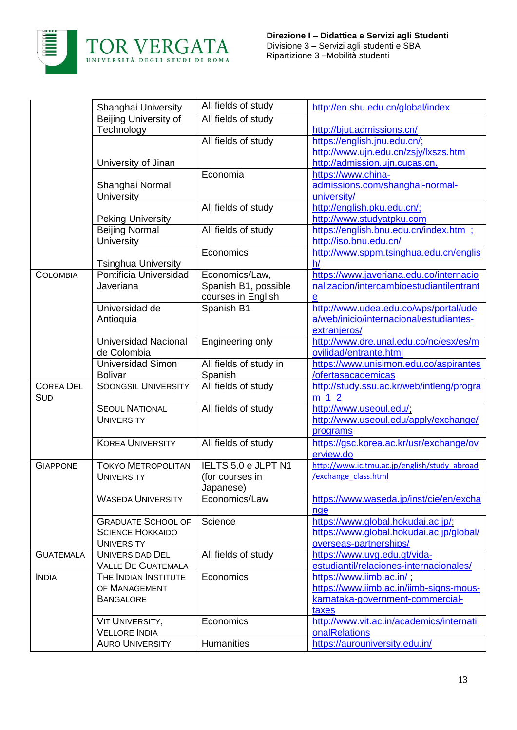

| Beijing University of<br>All fields of study<br>Technology<br>http://bjut.admissions.cn/<br>All fields of study<br>https://english.jnu.edu.cn/;<br>http://www.ujn.edu.cn/zsjy/lxszs.htm<br>University of Jinan<br>http://admission.ujn.cucas.cn.<br>Economia<br>https://www.china-<br>admissions.com/shanghai-normal-<br>Shanghai Normal<br>university/<br>University<br>All fields of study<br>http://english.pku.edu.cn/;<br>http://www.studyatpku.com<br><b>Peking University</b><br>Beijing Normal<br>All fields of study<br>https://english.bnu.edu.cn/index.htm ;<br><b>University</b><br>http://iso.bnu.edu.cn/<br>Economics<br>http://www.sppm.tsinghua.edu.cn/englis<br>h/<br><b>Tsinghua University</b><br>Pontificia Universidad<br>https://www.javeriana.edu.co/internacio<br><b>COLOMBIA</b><br>Economics/Law,<br>nalizacion/intercambioestudiantilentrant<br>Spanish B1, possible<br>Javeriana<br>courses in English<br>$\mathbf e$<br>Spanish B1<br>Universidad de<br>http://www.udea.edu.co/wps/portal/ude<br>a/web/inicio/internacional/estudiantes-<br>Antioquia<br>extranjeros/<br><b>Universidad Nacional</b><br>http://www.dre.unal.edu.co/nc/esx/es/m<br>Engineering only<br>ovilidad/entrante.html<br>de Colombia<br><b>Universidad Simon</b><br>All fields of study in<br>https://www.unisimon.edu.co/aspirantes<br>/ofertasacademicas<br><b>Bolivar</b><br>Spanish<br>All fields of study<br><b>COREA DEL</b><br><b>SOONGSIL UNIVERSITY</b><br>http://study.ssu.ac.kr/web/intleng/progra<br>SUD<br>m 1 2<br><b>SEOUL NATIONAL</b><br>All fields of study<br>http://www.useoul.edu/;<br>http://www.useoul.edu/apply/exchange/<br><b>UNIVERSITY</b><br>programs<br><b>KOREA UNIVERSITY</b><br>All fields of study<br>https://gsc.korea.ac.kr/usr/exchange/ov<br>erview.do<br>IELTS 5.0 e JLPT N1<br>http://www.ic.tmu.ac.jp/english/study abroad<br><b>GIAPPONE</b><br><b>TOKYO METROPOLITAN</b><br>/exchange class.html<br><b>UNIVERSITY</b><br>(for courses in<br>Japanese)<br><b>WASEDA UNIVERSITY</b><br>https://www.waseda.jp/inst/cie/en/excha<br>Economics/Law<br>nge<br><b>GRADUATE SCHOOL OF</b><br>Science<br>https://www.global.hokudai.ac.jp/;<br>https://www.global.hokudai.ac.jp/global/<br><b>SCIENCE HOKKAIDO</b><br>overseas-partnerships/<br><b>UNIVERSITY</b><br>All fields of study<br><b>UNIVERSIDAD DEL</b><br><b>GUATEMALA</b><br>https://www.uvg.edu.gt/vida-<br><b>VALLE DE GUATEMALA</b><br>estudiantil/relaciones-internacionales/<br>Economics<br><b>INDIA</b><br>THE INDIAN INSTITUTE<br>https://www.iimb.ac.in/;<br>https://www.iimb.ac.in/iimb-signs-mous-<br>OF MANAGEMENT<br><b>BANGALORE</b><br>karnataka-government-commercial-<br>taxes<br>http://www.vit.ac.in/academics/internati<br><b>VIT UNIVERSITY,</b><br>Economics | Shanghai University    | All fields of study | http://en.shu.edu.cn/global/index |
|---------------------------------------------------------------------------------------------------------------------------------------------------------------------------------------------------------------------------------------------------------------------------------------------------------------------------------------------------------------------------------------------------------------------------------------------------------------------------------------------------------------------------------------------------------------------------------------------------------------------------------------------------------------------------------------------------------------------------------------------------------------------------------------------------------------------------------------------------------------------------------------------------------------------------------------------------------------------------------------------------------------------------------------------------------------------------------------------------------------------------------------------------------------------------------------------------------------------------------------------------------------------------------------------------------------------------------------------------------------------------------------------------------------------------------------------------------------------------------------------------------------------------------------------------------------------------------------------------------------------------------------------------------------------------------------------------------------------------------------------------------------------------------------------------------------------------------------------------------------------------------------------------------------------------------------------------------------------------------------------------------------------------------------------------------------------------------------------------------------------------------------------------------------------------------------------------------------------------------------------------------------------------------------------------------------------------------------------------------------------------------------------------------------------------------------------------------------------------------------------------------------------------------------------------------------------------------------------------------------------------------------------------------------------------------------------------------------------------------------------------------------------------------------|------------------------|---------------------|-----------------------------------|
|                                                                                                                                                                                                                                                                                                                                                                                                                                                                                                                                                                                                                                                                                                                                                                                                                                                                                                                                                                                                                                                                                                                                                                                                                                                                                                                                                                                                                                                                                                                                                                                                                                                                                                                                                                                                                                                                                                                                                                                                                                                                                                                                                                                                                                                                                                                                                                                                                                                                                                                                                                                                                                                                                                                                                                                       |                        |                     |                                   |
|                                                                                                                                                                                                                                                                                                                                                                                                                                                                                                                                                                                                                                                                                                                                                                                                                                                                                                                                                                                                                                                                                                                                                                                                                                                                                                                                                                                                                                                                                                                                                                                                                                                                                                                                                                                                                                                                                                                                                                                                                                                                                                                                                                                                                                                                                                                                                                                                                                                                                                                                                                                                                                                                                                                                                                                       |                        |                     |                                   |
|                                                                                                                                                                                                                                                                                                                                                                                                                                                                                                                                                                                                                                                                                                                                                                                                                                                                                                                                                                                                                                                                                                                                                                                                                                                                                                                                                                                                                                                                                                                                                                                                                                                                                                                                                                                                                                                                                                                                                                                                                                                                                                                                                                                                                                                                                                                                                                                                                                                                                                                                                                                                                                                                                                                                                                                       |                        |                     |                                   |
|                                                                                                                                                                                                                                                                                                                                                                                                                                                                                                                                                                                                                                                                                                                                                                                                                                                                                                                                                                                                                                                                                                                                                                                                                                                                                                                                                                                                                                                                                                                                                                                                                                                                                                                                                                                                                                                                                                                                                                                                                                                                                                                                                                                                                                                                                                                                                                                                                                                                                                                                                                                                                                                                                                                                                                                       |                        |                     |                                   |
|                                                                                                                                                                                                                                                                                                                                                                                                                                                                                                                                                                                                                                                                                                                                                                                                                                                                                                                                                                                                                                                                                                                                                                                                                                                                                                                                                                                                                                                                                                                                                                                                                                                                                                                                                                                                                                                                                                                                                                                                                                                                                                                                                                                                                                                                                                                                                                                                                                                                                                                                                                                                                                                                                                                                                                                       |                        |                     |                                   |
|                                                                                                                                                                                                                                                                                                                                                                                                                                                                                                                                                                                                                                                                                                                                                                                                                                                                                                                                                                                                                                                                                                                                                                                                                                                                                                                                                                                                                                                                                                                                                                                                                                                                                                                                                                                                                                                                                                                                                                                                                                                                                                                                                                                                                                                                                                                                                                                                                                                                                                                                                                                                                                                                                                                                                                                       |                        |                     |                                   |
|                                                                                                                                                                                                                                                                                                                                                                                                                                                                                                                                                                                                                                                                                                                                                                                                                                                                                                                                                                                                                                                                                                                                                                                                                                                                                                                                                                                                                                                                                                                                                                                                                                                                                                                                                                                                                                                                                                                                                                                                                                                                                                                                                                                                                                                                                                                                                                                                                                                                                                                                                                                                                                                                                                                                                                                       |                        |                     |                                   |
|                                                                                                                                                                                                                                                                                                                                                                                                                                                                                                                                                                                                                                                                                                                                                                                                                                                                                                                                                                                                                                                                                                                                                                                                                                                                                                                                                                                                                                                                                                                                                                                                                                                                                                                                                                                                                                                                                                                                                                                                                                                                                                                                                                                                                                                                                                                                                                                                                                                                                                                                                                                                                                                                                                                                                                                       |                        |                     |                                   |
|                                                                                                                                                                                                                                                                                                                                                                                                                                                                                                                                                                                                                                                                                                                                                                                                                                                                                                                                                                                                                                                                                                                                                                                                                                                                                                                                                                                                                                                                                                                                                                                                                                                                                                                                                                                                                                                                                                                                                                                                                                                                                                                                                                                                                                                                                                                                                                                                                                                                                                                                                                                                                                                                                                                                                                                       |                        |                     |                                   |
|                                                                                                                                                                                                                                                                                                                                                                                                                                                                                                                                                                                                                                                                                                                                                                                                                                                                                                                                                                                                                                                                                                                                                                                                                                                                                                                                                                                                                                                                                                                                                                                                                                                                                                                                                                                                                                                                                                                                                                                                                                                                                                                                                                                                                                                                                                                                                                                                                                                                                                                                                                                                                                                                                                                                                                                       |                        |                     |                                   |
|                                                                                                                                                                                                                                                                                                                                                                                                                                                                                                                                                                                                                                                                                                                                                                                                                                                                                                                                                                                                                                                                                                                                                                                                                                                                                                                                                                                                                                                                                                                                                                                                                                                                                                                                                                                                                                                                                                                                                                                                                                                                                                                                                                                                                                                                                                                                                                                                                                                                                                                                                                                                                                                                                                                                                                                       |                        |                     |                                   |
|                                                                                                                                                                                                                                                                                                                                                                                                                                                                                                                                                                                                                                                                                                                                                                                                                                                                                                                                                                                                                                                                                                                                                                                                                                                                                                                                                                                                                                                                                                                                                                                                                                                                                                                                                                                                                                                                                                                                                                                                                                                                                                                                                                                                                                                                                                                                                                                                                                                                                                                                                                                                                                                                                                                                                                                       |                        |                     |                                   |
|                                                                                                                                                                                                                                                                                                                                                                                                                                                                                                                                                                                                                                                                                                                                                                                                                                                                                                                                                                                                                                                                                                                                                                                                                                                                                                                                                                                                                                                                                                                                                                                                                                                                                                                                                                                                                                                                                                                                                                                                                                                                                                                                                                                                                                                                                                                                                                                                                                                                                                                                                                                                                                                                                                                                                                                       |                        |                     |                                   |
|                                                                                                                                                                                                                                                                                                                                                                                                                                                                                                                                                                                                                                                                                                                                                                                                                                                                                                                                                                                                                                                                                                                                                                                                                                                                                                                                                                                                                                                                                                                                                                                                                                                                                                                                                                                                                                                                                                                                                                                                                                                                                                                                                                                                                                                                                                                                                                                                                                                                                                                                                                                                                                                                                                                                                                                       |                        |                     |                                   |
|                                                                                                                                                                                                                                                                                                                                                                                                                                                                                                                                                                                                                                                                                                                                                                                                                                                                                                                                                                                                                                                                                                                                                                                                                                                                                                                                                                                                                                                                                                                                                                                                                                                                                                                                                                                                                                                                                                                                                                                                                                                                                                                                                                                                                                                                                                                                                                                                                                                                                                                                                                                                                                                                                                                                                                                       |                        |                     |                                   |
|                                                                                                                                                                                                                                                                                                                                                                                                                                                                                                                                                                                                                                                                                                                                                                                                                                                                                                                                                                                                                                                                                                                                                                                                                                                                                                                                                                                                                                                                                                                                                                                                                                                                                                                                                                                                                                                                                                                                                                                                                                                                                                                                                                                                                                                                                                                                                                                                                                                                                                                                                                                                                                                                                                                                                                                       |                        |                     |                                   |
|                                                                                                                                                                                                                                                                                                                                                                                                                                                                                                                                                                                                                                                                                                                                                                                                                                                                                                                                                                                                                                                                                                                                                                                                                                                                                                                                                                                                                                                                                                                                                                                                                                                                                                                                                                                                                                                                                                                                                                                                                                                                                                                                                                                                                                                                                                                                                                                                                                                                                                                                                                                                                                                                                                                                                                                       |                        |                     |                                   |
|                                                                                                                                                                                                                                                                                                                                                                                                                                                                                                                                                                                                                                                                                                                                                                                                                                                                                                                                                                                                                                                                                                                                                                                                                                                                                                                                                                                                                                                                                                                                                                                                                                                                                                                                                                                                                                                                                                                                                                                                                                                                                                                                                                                                                                                                                                                                                                                                                                                                                                                                                                                                                                                                                                                                                                                       |                        |                     |                                   |
|                                                                                                                                                                                                                                                                                                                                                                                                                                                                                                                                                                                                                                                                                                                                                                                                                                                                                                                                                                                                                                                                                                                                                                                                                                                                                                                                                                                                                                                                                                                                                                                                                                                                                                                                                                                                                                                                                                                                                                                                                                                                                                                                                                                                                                                                                                                                                                                                                                                                                                                                                                                                                                                                                                                                                                                       |                        |                     |                                   |
|                                                                                                                                                                                                                                                                                                                                                                                                                                                                                                                                                                                                                                                                                                                                                                                                                                                                                                                                                                                                                                                                                                                                                                                                                                                                                                                                                                                                                                                                                                                                                                                                                                                                                                                                                                                                                                                                                                                                                                                                                                                                                                                                                                                                                                                                                                                                                                                                                                                                                                                                                                                                                                                                                                                                                                                       |                        |                     |                                   |
|                                                                                                                                                                                                                                                                                                                                                                                                                                                                                                                                                                                                                                                                                                                                                                                                                                                                                                                                                                                                                                                                                                                                                                                                                                                                                                                                                                                                                                                                                                                                                                                                                                                                                                                                                                                                                                                                                                                                                                                                                                                                                                                                                                                                                                                                                                                                                                                                                                                                                                                                                                                                                                                                                                                                                                                       |                        |                     |                                   |
|                                                                                                                                                                                                                                                                                                                                                                                                                                                                                                                                                                                                                                                                                                                                                                                                                                                                                                                                                                                                                                                                                                                                                                                                                                                                                                                                                                                                                                                                                                                                                                                                                                                                                                                                                                                                                                                                                                                                                                                                                                                                                                                                                                                                                                                                                                                                                                                                                                                                                                                                                                                                                                                                                                                                                                                       |                        |                     |                                   |
|                                                                                                                                                                                                                                                                                                                                                                                                                                                                                                                                                                                                                                                                                                                                                                                                                                                                                                                                                                                                                                                                                                                                                                                                                                                                                                                                                                                                                                                                                                                                                                                                                                                                                                                                                                                                                                                                                                                                                                                                                                                                                                                                                                                                                                                                                                                                                                                                                                                                                                                                                                                                                                                                                                                                                                                       |                        |                     |                                   |
|                                                                                                                                                                                                                                                                                                                                                                                                                                                                                                                                                                                                                                                                                                                                                                                                                                                                                                                                                                                                                                                                                                                                                                                                                                                                                                                                                                                                                                                                                                                                                                                                                                                                                                                                                                                                                                                                                                                                                                                                                                                                                                                                                                                                                                                                                                                                                                                                                                                                                                                                                                                                                                                                                                                                                                                       |                        |                     |                                   |
|                                                                                                                                                                                                                                                                                                                                                                                                                                                                                                                                                                                                                                                                                                                                                                                                                                                                                                                                                                                                                                                                                                                                                                                                                                                                                                                                                                                                                                                                                                                                                                                                                                                                                                                                                                                                                                                                                                                                                                                                                                                                                                                                                                                                                                                                                                                                                                                                                                                                                                                                                                                                                                                                                                                                                                                       |                        |                     |                                   |
|                                                                                                                                                                                                                                                                                                                                                                                                                                                                                                                                                                                                                                                                                                                                                                                                                                                                                                                                                                                                                                                                                                                                                                                                                                                                                                                                                                                                                                                                                                                                                                                                                                                                                                                                                                                                                                                                                                                                                                                                                                                                                                                                                                                                                                                                                                                                                                                                                                                                                                                                                                                                                                                                                                                                                                                       |                        |                     |                                   |
|                                                                                                                                                                                                                                                                                                                                                                                                                                                                                                                                                                                                                                                                                                                                                                                                                                                                                                                                                                                                                                                                                                                                                                                                                                                                                                                                                                                                                                                                                                                                                                                                                                                                                                                                                                                                                                                                                                                                                                                                                                                                                                                                                                                                                                                                                                                                                                                                                                                                                                                                                                                                                                                                                                                                                                                       |                        |                     |                                   |
|                                                                                                                                                                                                                                                                                                                                                                                                                                                                                                                                                                                                                                                                                                                                                                                                                                                                                                                                                                                                                                                                                                                                                                                                                                                                                                                                                                                                                                                                                                                                                                                                                                                                                                                                                                                                                                                                                                                                                                                                                                                                                                                                                                                                                                                                                                                                                                                                                                                                                                                                                                                                                                                                                                                                                                                       |                        |                     |                                   |
|                                                                                                                                                                                                                                                                                                                                                                                                                                                                                                                                                                                                                                                                                                                                                                                                                                                                                                                                                                                                                                                                                                                                                                                                                                                                                                                                                                                                                                                                                                                                                                                                                                                                                                                                                                                                                                                                                                                                                                                                                                                                                                                                                                                                                                                                                                                                                                                                                                                                                                                                                                                                                                                                                                                                                                                       |                        |                     |                                   |
|                                                                                                                                                                                                                                                                                                                                                                                                                                                                                                                                                                                                                                                                                                                                                                                                                                                                                                                                                                                                                                                                                                                                                                                                                                                                                                                                                                                                                                                                                                                                                                                                                                                                                                                                                                                                                                                                                                                                                                                                                                                                                                                                                                                                                                                                                                                                                                                                                                                                                                                                                                                                                                                                                                                                                                                       |                        |                     |                                   |
|                                                                                                                                                                                                                                                                                                                                                                                                                                                                                                                                                                                                                                                                                                                                                                                                                                                                                                                                                                                                                                                                                                                                                                                                                                                                                                                                                                                                                                                                                                                                                                                                                                                                                                                                                                                                                                                                                                                                                                                                                                                                                                                                                                                                                                                                                                                                                                                                                                                                                                                                                                                                                                                                                                                                                                                       |                        |                     |                                   |
|                                                                                                                                                                                                                                                                                                                                                                                                                                                                                                                                                                                                                                                                                                                                                                                                                                                                                                                                                                                                                                                                                                                                                                                                                                                                                                                                                                                                                                                                                                                                                                                                                                                                                                                                                                                                                                                                                                                                                                                                                                                                                                                                                                                                                                                                                                                                                                                                                                                                                                                                                                                                                                                                                                                                                                                       |                        |                     |                                   |
|                                                                                                                                                                                                                                                                                                                                                                                                                                                                                                                                                                                                                                                                                                                                                                                                                                                                                                                                                                                                                                                                                                                                                                                                                                                                                                                                                                                                                                                                                                                                                                                                                                                                                                                                                                                                                                                                                                                                                                                                                                                                                                                                                                                                                                                                                                                                                                                                                                                                                                                                                                                                                                                                                                                                                                                       |                        |                     |                                   |
|                                                                                                                                                                                                                                                                                                                                                                                                                                                                                                                                                                                                                                                                                                                                                                                                                                                                                                                                                                                                                                                                                                                                                                                                                                                                                                                                                                                                                                                                                                                                                                                                                                                                                                                                                                                                                                                                                                                                                                                                                                                                                                                                                                                                                                                                                                                                                                                                                                                                                                                                                                                                                                                                                                                                                                                       |                        |                     |                                   |
|                                                                                                                                                                                                                                                                                                                                                                                                                                                                                                                                                                                                                                                                                                                                                                                                                                                                                                                                                                                                                                                                                                                                                                                                                                                                                                                                                                                                                                                                                                                                                                                                                                                                                                                                                                                                                                                                                                                                                                                                                                                                                                                                                                                                                                                                                                                                                                                                                                                                                                                                                                                                                                                                                                                                                                                       |                        |                     |                                   |
|                                                                                                                                                                                                                                                                                                                                                                                                                                                                                                                                                                                                                                                                                                                                                                                                                                                                                                                                                                                                                                                                                                                                                                                                                                                                                                                                                                                                                                                                                                                                                                                                                                                                                                                                                                                                                                                                                                                                                                                                                                                                                                                                                                                                                                                                                                                                                                                                                                                                                                                                                                                                                                                                                                                                                                                       |                        |                     |                                   |
|                                                                                                                                                                                                                                                                                                                                                                                                                                                                                                                                                                                                                                                                                                                                                                                                                                                                                                                                                                                                                                                                                                                                                                                                                                                                                                                                                                                                                                                                                                                                                                                                                                                                                                                                                                                                                                                                                                                                                                                                                                                                                                                                                                                                                                                                                                                                                                                                                                                                                                                                                                                                                                                                                                                                                                                       |                        |                     |                                   |
|                                                                                                                                                                                                                                                                                                                                                                                                                                                                                                                                                                                                                                                                                                                                                                                                                                                                                                                                                                                                                                                                                                                                                                                                                                                                                                                                                                                                                                                                                                                                                                                                                                                                                                                                                                                                                                                                                                                                                                                                                                                                                                                                                                                                                                                                                                                                                                                                                                                                                                                                                                                                                                                                                                                                                                                       |                        |                     |                                   |
|                                                                                                                                                                                                                                                                                                                                                                                                                                                                                                                                                                                                                                                                                                                                                                                                                                                                                                                                                                                                                                                                                                                                                                                                                                                                                                                                                                                                                                                                                                                                                                                                                                                                                                                                                                                                                                                                                                                                                                                                                                                                                                                                                                                                                                                                                                                                                                                                                                                                                                                                                                                                                                                                                                                                                                                       |                        |                     |                                   |
|                                                                                                                                                                                                                                                                                                                                                                                                                                                                                                                                                                                                                                                                                                                                                                                                                                                                                                                                                                                                                                                                                                                                                                                                                                                                                                                                                                                                                                                                                                                                                                                                                                                                                                                                                                                                                                                                                                                                                                                                                                                                                                                                                                                                                                                                                                                                                                                                                                                                                                                                                                                                                                                                                                                                                                                       |                        |                     |                                   |
|                                                                                                                                                                                                                                                                                                                                                                                                                                                                                                                                                                                                                                                                                                                                                                                                                                                                                                                                                                                                                                                                                                                                                                                                                                                                                                                                                                                                                                                                                                                                                                                                                                                                                                                                                                                                                                                                                                                                                                                                                                                                                                                                                                                                                                                                                                                                                                                                                                                                                                                                                                                                                                                                                                                                                                                       |                        |                     |                                   |
|                                                                                                                                                                                                                                                                                                                                                                                                                                                                                                                                                                                                                                                                                                                                                                                                                                                                                                                                                                                                                                                                                                                                                                                                                                                                                                                                                                                                                                                                                                                                                                                                                                                                                                                                                                                                                                                                                                                                                                                                                                                                                                                                                                                                                                                                                                                                                                                                                                                                                                                                                                                                                                                                                                                                                                                       |                        |                     |                                   |
|                                                                                                                                                                                                                                                                                                                                                                                                                                                                                                                                                                                                                                                                                                                                                                                                                                                                                                                                                                                                                                                                                                                                                                                                                                                                                                                                                                                                                                                                                                                                                                                                                                                                                                                                                                                                                                                                                                                                                                                                                                                                                                                                                                                                                                                                                                                                                                                                                                                                                                                                                                                                                                                                                                                                                                                       |                        |                     |                                   |
|                                                                                                                                                                                                                                                                                                                                                                                                                                                                                                                                                                                                                                                                                                                                                                                                                                                                                                                                                                                                                                                                                                                                                                                                                                                                                                                                                                                                                                                                                                                                                                                                                                                                                                                                                                                                                                                                                                                                                                                                                                                                                                                                                                                                                                                                                                                                                                                                                                                                                                                                                                                                                                                                                                                                                                                       |                        |                     |                                   |
|                                                                                                                                                                                                                                                                                                                                                                                                                                                                                                                                                                                                                                                                                                                                                                                                                                                                                                                                                                                                                                                                                                                                                                                                                                                                                                                                                                                                                                                                                                                                                                                                                                                                                                                                                                                                                                                                                                                                                                                                                                                                                                                                                                                                                                                                                                                                                                                                                                                                                                                                                                                                                                                                                                                                                                                       |                        |                     |                                   |
|                                                                                                                                                                                                                                                                                                                                                                                                                                                                                                                                                                                                                                                                                                                                                                                                                                                                                                                                                                                                                                                                                                                                                                                                                                                                                                                                                                                                                                                                                                                                                                                                                                                                                                                                                                                                                                                                                                                                                                                                                                                                                                                                                                                                                                                                                                                                                                                                                                                                                                                                                                                                                                                                                                                                                                                       | <b>VELLORE INDIA</b>   |                     | <b>onalRelations</b>              |
|                                                                                                                                                                                                                                                                                                                                                                                                                                                                                                                                                                                                                                                                                                                                                                                                                                                                                                                                                                                                                                                                                                                                                                                                                                                                                                                                                                                                                                                                                                                                                                                                                                                                                                                                                                                                                                                                                                                                                                                                                                                                                                                                                                                                                                                                                                                                                                                                                                                                                                                                                                                                                                                                                                                                                                                       |                        |                     |                                   |
|                                                                                                                                                                                                                                                                                                                                                                                                                                                                                                                                                                                                                                                                                                                                                                                                                                                                                                                                                                                                                                                                                                                                                                                                                                                                                                                                                                                                                                                                                                                                                                                                                                                                                                                                                                                                                                                                                                                                                                                                                                                                                                                                                                                                                                                                                                                                                                                                                                                                                                                                                                                                                                                                                                                                                                                       | <b>AURO UNIVERSITY</b> | Humanities          | https://aurouniversity.edu.in/    |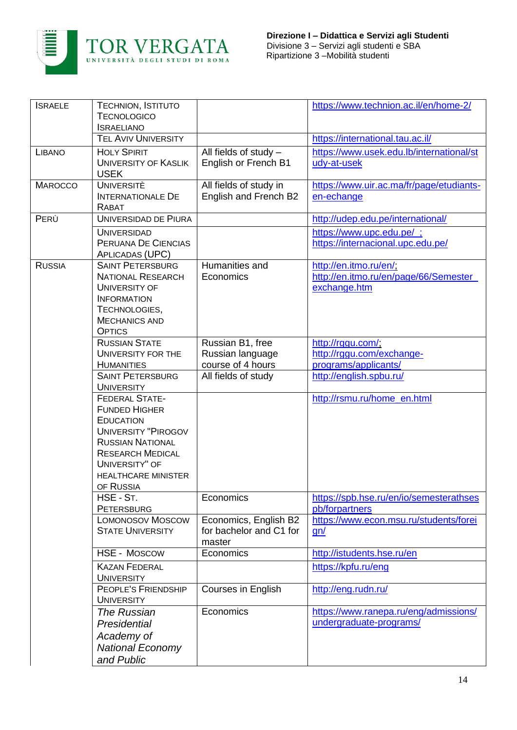

| <b>ISRAELE</b> | TECHNION, ISTITUTO<br><b>TECNOLOGICO</b><br><b>ISRAELIANO</b>                                                                                                                                                      |                                                            | https://www.technion.ac.il/en/home-2/                                            |
|----------------|--------------------------------------------------------------------------------------------------------------------------------------------------------------------------------------------------------------------|------------------------------------------------------------|----------------------------------------------------------------------------------|
|                | <b>TEL AVIV UNIVERSITY</b>                                                                                                                                                                                         |                                                            | https://international.tau.ac.il/                                                 |
| <b>LIBANO</b>  | <b>HOLY SPIRIT</b><br><b>UNIVERSITY OF KASLIK</b><br><b>USEK</b>                                                                                                                                                   | All fields of study -<br>English or French B1              | https://www.usek.edu.lb/international/st<br>udy-at-usek                          |
| <b>MAROCCO</b> | <b>UNIVERSITÈ</b><br><b>INTERNATIONALE DE</b><br>RABAT                                                                                                                                                             | All fields of study in<br>English and French B2            | https://www.uir.ac.ma/fr/page/etudiants-<br>en-echange                           |
| PERÙ           | UNIVERSIDAD DE PIURA                                                                                                                                                                                               |                                                            | http://udep.edu.pe/international/                                                |
|                | <b>UNIVERSIDAD</b><br>PERUANA DE CIENCIAS<br>APLICADAS (UPC)                                                                                                                                                       |                                                            | https://www.upc.edu.pe/;<br>https://internacional.upc.edu.pe/                    |
| <b>RUSSIA</b>  | <b>SAINT PETERSBURG</b><br><b>NATIONAL RESEARCH</b><br>UNIVERSITY OF<br><b>INFORMATION</b><br>TECHNOLOGIES,<br><b>MECHANICS AND</b><br><b>OPTICS</b>                                                               | Humanities and<br>Economics                                | http://en.itmo.ru/en/;<br>http://en.itmo.ru/en/page/66/Semester_<br>exchange.htm |
|                | <b>RUSSIAN STATE</b><br>UNIVERSITY FOR THE<br><b>HUMANITIES</b>                                                                                                                                                    | Russian B1, free<br>Russian language<br>course of 4 hours  | http://rggu.com/;<br>http://rggu.com/exchange-<br>programs/applicants/           |
|                | <b>SAINT PETERSBURG</b><br><b>UNIVERSITY</b>                                                                                                                                                                       | All fields of study                                        | http://english.spbu.ru/                                                          |
|                | <b>FEDERAL STATE-</b><br><b>FUNDED HIGHER</b><br><b>EDUCATION</b><br><b>UNIVERSITY "PIROGOV</b><br><b>RUSSIAN NATIONAL</b><br><b>RESEARCH MEDICAL</b><br>UNIVERSITY" OF<br><b>HEALTHCARE MINISTER</b><br>OF RUSSIA |                                                            | http://rsmu.ru/home_en.html                                                      |
|                | HSE - ST.<br><b>PETERSBURG</b>                                                                                                                                                                                     | Economics                                                  | https://spb.hse.ru/en/io/semesterathses<br>pb/forpartners                        |
|                | <b>LOMONOSOV MOSCOW</b><br><b>STATE UNIVERSITY</b>                                                                                                                                                                 | Economics, English B2<br>for bachelor and C1 for<br>master | https://www.econ.msu.ru/students/forei<br>gn/                                    |
|                | <b>HSE - MOSCOW</b>                                                                                                                                                                                                | Economics                                                  | http://istudents.hse.ru/en                                                       |
|                | <b>KAZAN FEDERAL</b><br><b>UNIVERSITY</b>                                                                                                                                                                          |                                                            | https://kpfu.ru/eng                                                              |
|                | PEOPLE'S FRIENDSHIP<br><b>UNIVERSITY</b>                                                                                                                                                                           | <b>Courses in English</b>                                  | http://eng.rudn.ru/                                                              |
|                | The Russian<br>Presidential<br>Academy of<br><b>National Economy</b><br>and Public                                                                                                                                 | Economics                                                  | https://www.ranepa.ru/eng/admissions/<br>undergraduate-programs/                 |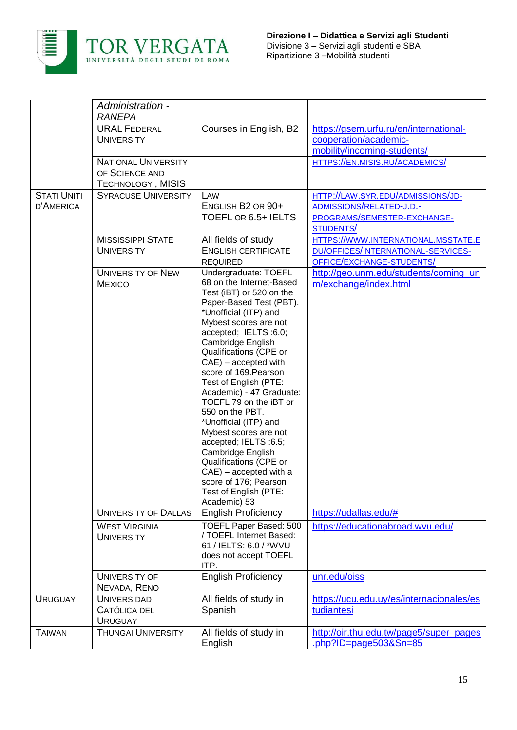

|                                        | Administration -<br><b>RANEPA</b>                                        |                                                                                                                                                                                                                                                                                                                                                                                                                                                                                                                                                                                                                  |                                                                                                           |
|----------------------------------------|--------------------------------------------------------------------------|------------------------------------------------------------------------------------------------------------------------------------------------------------------------------------------------------------------------------------------------------------------------------------------------------------------------------------------------------------------------------------------------------------------------------------------------------------------------------------------------------------------------------------------------------------------------------------------------------------------|-----------------------------------------------------------------------------------------------------------|
|                                        | <b>URAL FEDERAL</b><br><b>UNIVERSITY</b>                                 | Courses in English, B2                                                                                                                                                                                                                                                                                                                                                                                                                                                                                                                                                                                           | https://gsem.urfu.ru/en/international-<br>cooperation/academic-<br>mobility/incoming-students/            |
|                                        | <b>NATIONAL UNIVERSITY</b><br>OF SCIENCE AND<br><b>TECHNOLOGY, MISIS</b> |                                                                                                                                                                                                                                                                                                                                                                                                                                                                                                                                                                                                                  | HTTPS://EN.MISIS.RU/ACADEMICS/                                                                            |
| <b>STATI UNITI</b><br><b>D'AMERICA</b> | <b>SYRACUSE UNIVERSITY</b>                                               | LAW<br>ENGLISH B2 OR 90+<br>TOEFL OR 6.5+ IELTS                                                                                                                                                                                                                                                                                                                                                                                                                                                                                                                                                                  | HTTP://LAW.SYR.EDU/ADMISSIONS/JD-<br>ADMISSIONS/RELATED-J.D.-<br>PROGRAMS/SEMESTER-EXCHANGE-<br>STUDENTS/ |
|                                        | <b>MISSISSIPPI STATE</b><br><b>UNIVERSITY</b>                            | All fields of study<br><b>ENGLISH CERTIFICATE</b><br><b>REQUIRED</b>                                                                                                                                                                                                                                                                                                                                                                                                                                                                                                                                             | HTTPS://WWW.INTERNATIONAL.MSSTATE.E<br>DU/OFFICES/INTERNATIONAL-SERVICES-<br>OFFICE/EXCHANGE-STUDENTS/    |
|                                        | <b>UNIVERSITY OF NEW</b><br><b>MEXICO</b>                                | Undergraduate: TOEFL<br>68 on the Internet-Based<br>Test (iBT) or 520 on the<br>Paper-Based Test (PBT).<br>*Unofficial (ITP) and<br>Mybest scores are not<br>accepted; IELTS :6.0;<br>Cambridge English<br>Qualifications (CPE or<br>$CAE$ ) – accepted with<br>score of 169. Pearson<br>Test of English (PTE:<br>Academic) - 47 Graduate:<br>TOEFL 79 on the iBT or<br>550 on the PBT.<br>*Unofficial (ITP) and<br>Mybest scores are not<br>accepted; IELTS :6.5;<br>Cambridge English<br>Qualifications (CPE or<br>$CAE$ ) – accepted with a<br>score of 176; Pearson<br>Test of English (PTE:<br>Academic) 53 | http://geo.unm.edu/students/coming_un<br>m/exchange/index.html                                            |
|                                        | <b>UNIVERSITY OF DALLAS</b>                                              | <b>English Proficiency</b>                                                                                                                                                                                                                                                                                                                                                                                                                                                                                                                                                                                       | https://udallas.edu/#                                                                                     |
|                                        | <b>WEST VIRGINIA</b><br><b>UNIVERSITY</b>                                | TOEFL Paper Based: 500<br>/ TOEFL Internet Based:<br>61 / IELTS: 6.0 / *WVU<br>does not accept TOEFL<br>ITP.                                                                                                                                                                                                                                                                                                                                                                                                                                                                                                     | https://educationabroad.wvu.edu/                                                                          |
|                                        | UNIVERSITY OF<br>NEVADA, RENO                                            | <b>English Proficiency</b>                                                                                                                                                                                                                                                                                                                                                                                                                                                                                                                                                                                       | unr.edu/oiss                                                                                              |
| <b>URUGUAY</b>                         | <b>UNIVERSIDAD</b><br>CATÓLICA DEL<br><b>URUGUAY</b>                     | All fields of study in<br>Spanish                                                                                                                                                                                                                                                                                                                                                                                                                                                                                                                                                                                | https://ucu.edu.uy/es/internacionales/es<br>tudiantesi                                                    |
| <b>TAIWAN</b>                          | <b>THUNGAI UNIVERSITY</b>                                                | All fields of study in<br>English                                                                                                                                                                                                                                                                                                                                                                                                                                                                                                                                                                                | http://oir.thu.edu.tw/page5/super pages<br>php?ID=page503&Sn=85                                           |